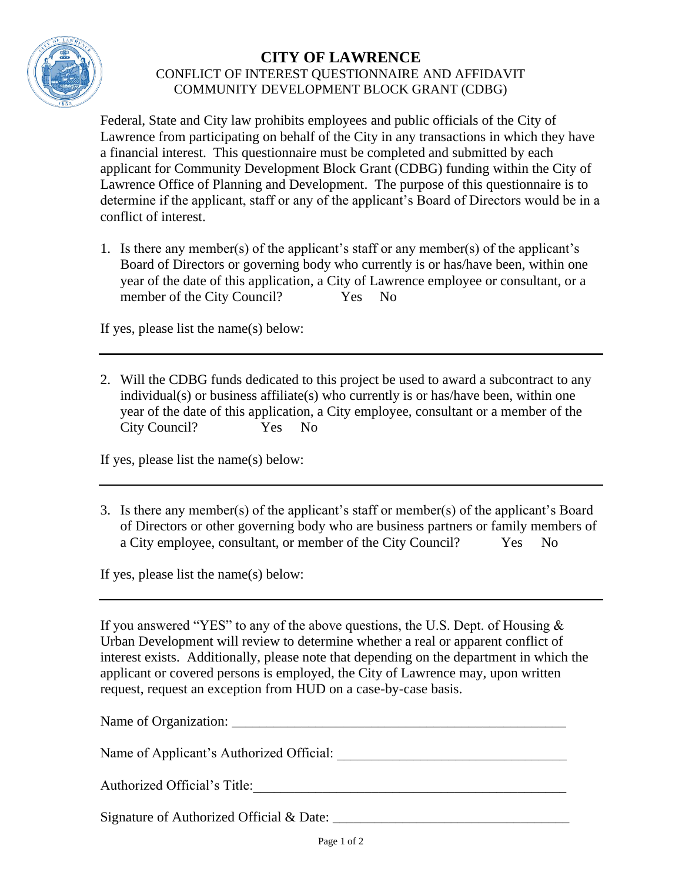

## **CITY OF LAWRENCE** CONFLICT OF INTEREST QUESTIONNAIRE AND AFFIDAVIT COMMUNITY DEVELOPMENT BLOCK GRANT (CDBG)

Federal, State and City law prohibits employees and public officials of the City of Lawrence from participating on behalf of the City in any transactions in which they have a financial interest. This questionnaire must be completed and submitted by each applicant for Community Development Block Grant (CDBG) funding within the City of Lawrence Office of Planning and Development. The purpose of this questionnaire is to determine if the applicant, staff or any of the applicant's Board of Directors would be in a conflict of interest.

1. Is there any member(s) of the applicant's staff or any member(s) of the applicant's Board of Directors or governing body who currently is or has/have been, within one year of the date of this application, a City of Lawrence employee or consultant, or a member of the City Council? Yes No

If yes, please list the name(s) below:

2. Will the CDBG funds dedicated to this project be used to award a subcontract to any individual(s) or business affiliate(s) who currently is or has/have been, within one year of the date of this application, a City employee, consultant or a member of the City Council? Yes No

If yes, please list the name(s) below:

3. Is there any member(s) of the applicant's staff or member(s) of the applicant's Board of Directors or other governing body who are business partners or family members of a City employee, consultant, or member of the City Council? Yes No

If yes, please list the name(s) below:

If you answered "YES" to any of the above questions, the U.S. Dept. of Housing & Urban Development will review to determine whether a real or apparent conflict of interest exists. Additionally, please note that depending on the department in which the applicant or covered persons is employed, the City of Lawrence may, upon written request, request an exception from HUD on a case-by-case basis.

| Name of Applicant's Authorized Official:    |
|---------------------------------------------|
| Authorized Official's Title:                |
| Signature of Authorized Official $\&$ Date: |